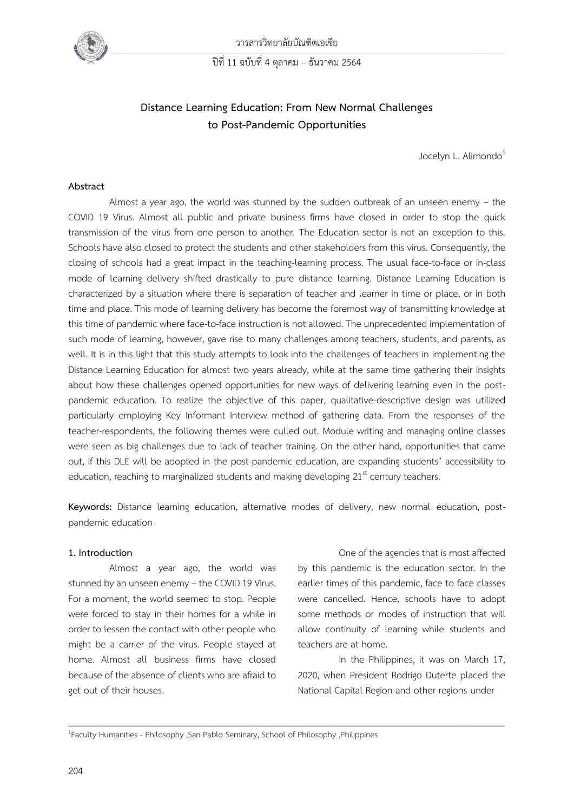

วารสารวิทยาลัยบัณฑิตเอเซีย

ปีที่ 11 ฉบับที่ 4 ตุลาคม – ธันวาคม 2564

# **Distance Learning Education: From New Normal Challenges to Post-Pandemic Opportunities**

Jocelyn L. Alimondo<sup>1</sup>

#### **Abstract**

Almost a year ago, the world was stunned by the sudden outbreak of an unseen enemy – the COVID 19 Virus. Almost all public and private business firms have closed in order to stop the quick transmission of the virus from one person to another. The Education sector is not an exception to this. Schools have also closed to protect the students and other stakeholders from this virus. Consequently, the closing of schools had a great impact in the teaching-learning process. The usual face-to-face or in-class mode of learning delivery shifted drastically to pure distance learning. Distance Learning Education is characterized by a situation where there is separation of teacher and learner in time or place, or in both time and place. This mode of learning delivery has become the foremost way of transmitting knowledge at this time of pandemic where face-to-face instruction is not allowed. The unprecedented implementation of such mode of learning, however, gave rise to many challenges among teachers, students, and parents, as well. It is in this light that this study attempts to look into the challenges of teachers in implementing the Distance Learning Education for almost two years already, while at the same time gathering their insights about how these challenges opened opportunities for new ways of delivering learning even in the postpandemic education. To realize the objective of this paper, qualitative-descriptive design was utilized particularly employing Key Informant Interview method of gathering data. From the responses of the teacher-respondents, the following themes were culled out. Module writing and managing online classes were seen as big challenges due to lack of teacher training. On the other hand, opportunities that came out, if this DLE will be adopted in the post-pandemic education, are expanding students' accessibility to education, reaching to marginalized students and making developing  $21<sup>st</sup>$  century teachers.

**Keywords:** Distance learning education, alternative modes of delivery, new normal education, postpandemic education

 $\_$  ,  $\_$  ,  $\_$  ,  $\_$  ,  $\_$  ,  $\_$  ,  $\_$  ,  $\_$  ,  $\_$  ,  $\_$  ,  $\_$  ,  $\_$  ,  $\_$  ,  $\_$  ,  $\_$  ,  $\_$  ,  $\_$  ,  $\_$  ,  $\_$  ,  $\_$  ,  $\_$  ,  $\_$  ,  $\_$  ,  $\_$  ,  $\_$  ,  $\_$  ,  $\_$  ,  $\_$  ,  $\_$  ,  $\_$  ,  $\_$  ,  $\_$  ,  $\_$  ,  $\_$  ,  $\_$  ,  $\_$  ,  $\_$  ,

#### **1. Introduction**

Almost a year ago, the world was stunned by an unseen enemy - the COVID 19 Virus. For a moment, the world seemed to stop. People were forced to stay in their homes for a while in order to lessen the contact with other people who might be a carrier of the virus. People stayed at home. Almost all business firms have closed because of the absence of clients who are afraid to get out of their houses.

One of the agencies that is most affected by this pandemic is the education sector. In the earlier times of this pandemic, face to face classes were cancelled. Hence, schools have to adopt some methods or modes of instruction that will allow continuity of learning while students and teachers are at home.

In the Philippines, it was on March 17, 2020, when President Rodrigo Duterte placed the National Capital Region and other regions under

<sup>1</sup>Faculty Humanities - Philosophy ,San Pablo Seminary, School of Philosophy ,Philippines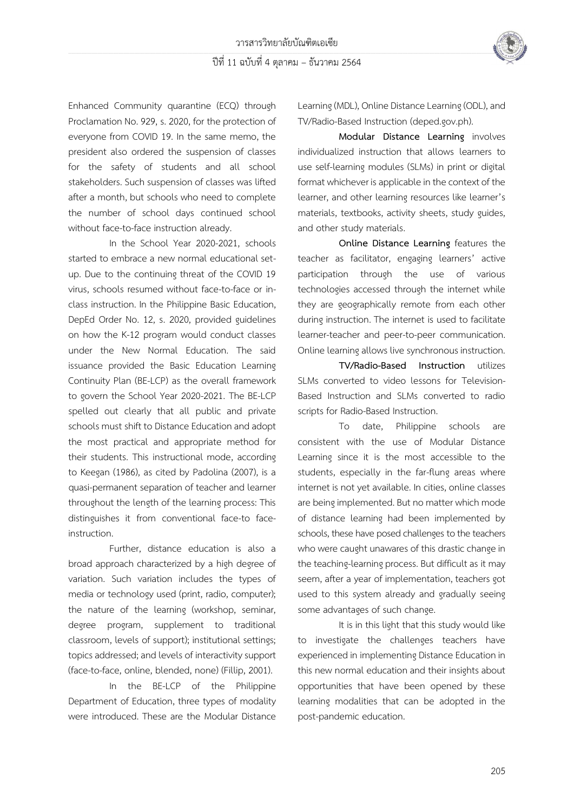

Enhanced Community quarantine (ECQ) through Proclamation No. 929, s. 2020, for the protection of everyone from COVID 19. In the same memo, the president also ordered the suspension of classes for the safety of students and all school stakeholders. Such suspension of classes was lifted after a month, but schools who need to complete the number of school days continued school without face-to-face instruction already.

In the School Year 2020-2021, schools started to embrace a new normal educational setup. Due to the continuing threat of the COVID 19 virus, schools resumed without face-to-face or inclass instruction. In the Philippine Basic Education, DepEd Order No. 12, s. 2020, provided guidelines on how the K-12 program would conduct classes under the New Normal Education. The said issuance provided the Basic Education Learning Continuity Plan (BE-LCP) as the overall framework to govern the School Year 2020-2021. The BE-LCP spelled out clearly that all public and private schools must shift to Distance Education and adopt the most practical and appropriate method for their students. This instructional mode, according to Keegan (1986), as cited by Padolina (2007), is a quasi-permanent separation of teacher and learner throughout the length of the learning process: This distinguishes it from conventional face-to faceinstruction.

Further, distance education is also a broad approach characterized by a high degree of variation. Such variation includes the types of media or technology used (print, radio, computer); the nature of the learning (workshop, seminar, degree program, supplement to traditional classroom, levels of support); institutional settings; topics addressed; and levels of interactivity support (face-to-face, online, blended, none) (Fillip, 2001).

In the BE-LCP of the Philippine Department of Education, three types of modality were introduced. These are the Modular Distance

Learning (MDL), Online Distance Learning (ODL), and TV/Radio-Based Instruction (deped.gov.ph).

**Modular Distance Learning** involves individualized instruction that allows learners to use self-learning modules (SLMs) in print or digital format whichever is applicable in the context of the learner, and other learning resources like learner's materials, textbooks, activity sheets, study guides, and other study materials.

**Online Distance Learning** features the teacher as facilitator, engaging learners' active participation through the use of various technologies accessed through the internet while they are geographically remote from each other during instruction. The internet is used to facilitate learner-teacher and peer-to-peer communication. Online learning allows live synchronous instruction.

**TV/Radio-Based Instruction** utilizes SLMs converted to video lessons for Television-Based Instruction and SLMs converted to radio scripts for Radio-Based Instruction.

To date, Philippine schools are consistent with the use of Modular Distance Learning since it is the most accessible to the students, especially in the far-flung areas where internet is not yet available. In cities, online classes are being implemented. But no matter which mode of distance learning had been implemented by schools, these have posed challenges to the teachers who were caught unawares of this drastic change in the teaching-learning process. But difficult as it may seem, after a year of implementation, teachers got used to this system already and gradually seeing some advantages of such change.

It is in this light that this study would like to investigate the challenges teachers have experienced in implementing Distance Education in this new normal education and their insights about opportunities that have been opened by these learning modalities that can be adopted in the post-pandemic education.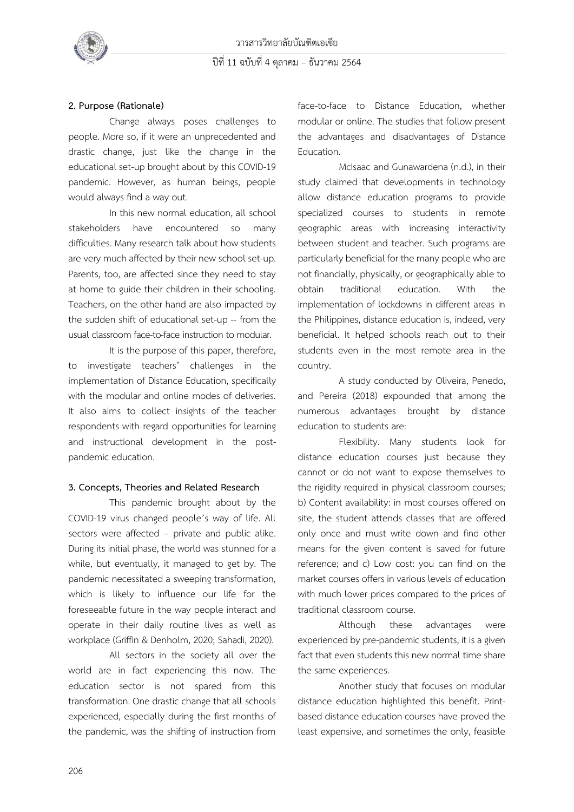

#### **2. Purpose (Rationale)**

Change always poses challenges to people. More so, if it were an unprecedented and drastic change, just like the change in the educational set-up brought about by this COVID-19 pandemic. However, as human beings, people would always find a way out.

In this new normal education, all school stakeholders have encountered so many difficulties. Many research talk about how students are very much affected by their new school set-up. Parents, too, are affected since they need to stay at home to guide their children in their schooling. Teachers, on the other hand are also impacted by the sudden shift of educational set-up -- from the usual classroom face-to-face instruction to modular.

It is the purpose of this paper, therefore, to investigate teachers' challenges in the implementation of Distance Education, specifically with the modular and online modes of deliveries. It also aims to collect insights of the teacher respondents with regard opportunities for learning and instructional development in the postpandemic education.

#### **3. Concepts, Theories and Related Research**

This pandemic brought about by the COVID-19 virus changed people's way of life. All sectors were affected – private and public alike. During its initial phase, the world was stunned for a while, but eventually, it managed to get by. The pandemic necessitated a sweeping transformation, which is likely to influence our life for the foreseeable future in the way people interact and operate in their daily routine lives as well as workplace (Griffin & Denholm, 2020; Sahadi, 2020).

All sectors in the society all over the world are in fact experiencing this now. The education sector is not spared from this transformation. One drastic change that all schools experienced, especially during the first months of the pandemic, was the shifting of instruction from

face-to-face to Distance Education, whether modular or online. The studies that follow present the advantages and disadvantages of Distance Education.

McIsaac and Gunawardena (n.d.), in their study claimed that developments in technology allow distance education programs to provide specialized courses to students in remote geographic areas with increasing interactivity between student and teacher. Such programs are particularly beneficial for the many people who are not financially, physically, or geographically able to obtain traditional education. With the implementation of lockdowns in different areas in the Philippines, distance education is, indeed, very beneficial. It helped schools reach out to their students even in the most remote area in the country.

A study conducted by Oliveira, Penedo, and Pereira (2018) expounded that among the numerous advantages brought by distance education to students are:

Flexibility. Many students look for distance education courses just because they cannot or do not want to expose themselves to the rigidity required in physical classroom courses; b) Content availability: in most courses offered on site, the student attends classes that are offered only once and must write down and find other means for the given content is saved for future reference; and c) Low cost: you can find on the market courses offers in various levels of education with much lower prices compared to the prices of traditional classroom course.

Although these advantages were experienced by pre-pandemic students, it is a given fact that even students this new normal time share the same experiences.

Another study that focuses on modular distance education highlighted this benefit. Printbased distance education courses have proved the least expensive, and sometimes the only, feasible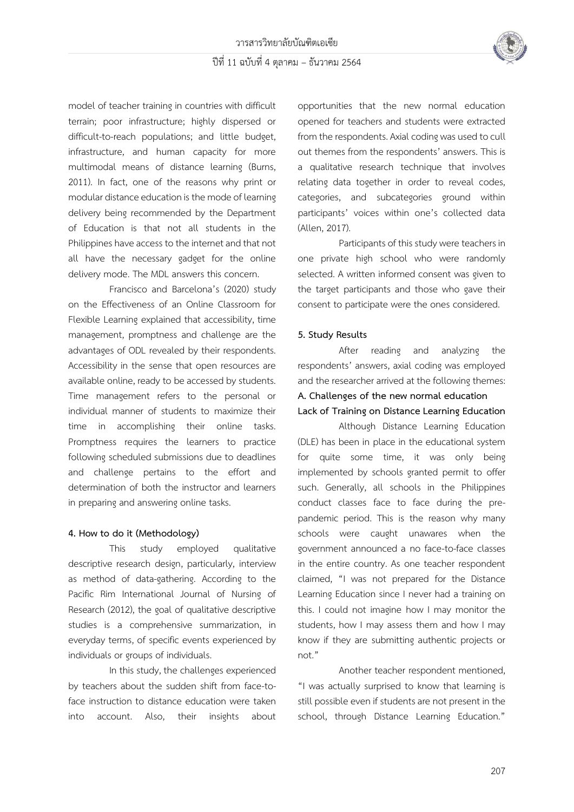

### ปีที่ 11 ฉบับที่ 4 ตุลาคม – ธันวาคม 2564

model of teacher training in countries with difficult terrain; poor infrastructure; highly dispersed or difficult-to-reach populations; and little budget, infrastructure, and human capacity for more multimodal means of distance learning (Burns, 2011). In fact, one of the reasons why print or modular distance education is the mode of learning delivery being recommended by the Department of Education is that not all students in the Philippines have access to the internet and that not all have the necessary gadget for the online delivery mode. The MDL answers this concern.

Francisco and Barcelona's (2020) study on the Effectiveness of an Online Classroom for Flexible Learning explained that accessibility, time management, promptness and challenge are the advantages of ODL revealed by their respondents. Accessibility in the sense that open resources are available online, ready to be accessed by students. Time management refers to the personal or individual manner of students to maximize their time in accomplishing their online tasks. Promptness requires the learners to practice following scheduled submissions due to deadlines and challenge pertains to the effort and determination of both the instructor and learners in preparing and answering online tasks.

#### **4. How to do it (Methodology)**

This study employed qualitative descriptive research design, particularly, interview as method of data-gathering. According to the Pacific Rim International Journal of Nursing of Research (2012), the goal of qualitative descriptive studies is a comprehensive summarization, in everyday terms, of specific events experienced by individuals or groups of individuals.

In this study, the challenges experienced by teachers about the sudden shift from face-toface instruction to distance education were taken into account. Also, their insights about opportunities that the new normal education opened for teachers and students were extracted from the respondents. Axial coding was used to cull out themes from the respondents' answers. This is a qualitative research technique that involves relating data together in order to reveal codes, categories, and subcategories ground within participants' voices within one's collected data (Allen, 2017).

Participants of this study were teachers in one private high school who were randomly selected. A written informed consent was given to the target participants and those who gave their consent to participate were the ones considered.

#### **5. Study Results**

After reading and analyzing the respondents' answers, axial coding was employed and the researcher arrived at the following themes:

### **A. Challenges of the new normal education Lack of Training on Distance Learning Education**

Although Distance Learning Education (DLE) has been in place in the educational system for quite some time, it was only being implemented by schools granted permit to offer such. Generally, all schools in the Philippines conduct classes face to face during the prepandemic period. This is the reason why many schools were caught unawares when the government announced a no face-to-face classes in the entire country. As one teacher respondent claimed, "I was not prepared for the Distance Learning Education since I never had a training on this. I could not imagine how I may monitor the students, how I may assess them and how I may know if they are submitting authentic projects or not."

Another teacher respondent mentioned, "I was actually surprised to know that learning is still possible even if students are not present in the school, through Distance Learning Education."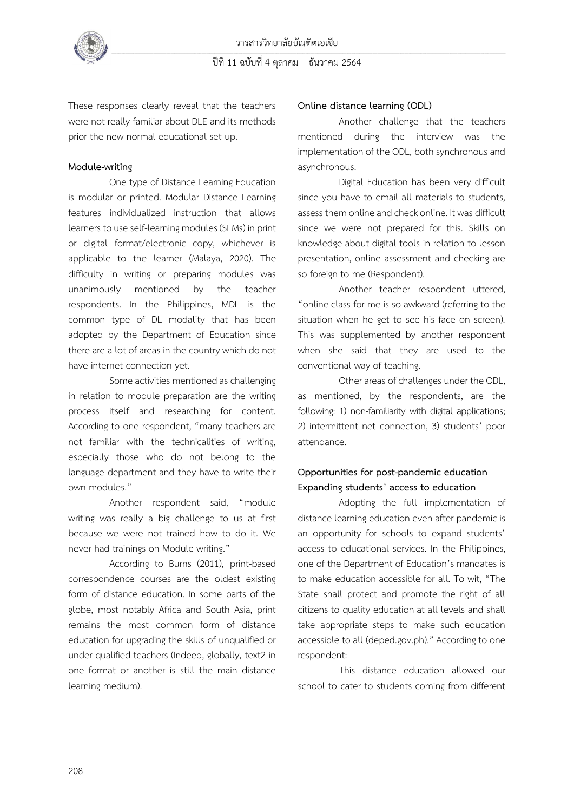

These responses clearly reveal that the teachers were not really familiar about DLE and its methods prior the new normal educational set-up.

#### **Module-writing**

One type of Distance Learning Education is modular or printed. Modular Distance Learning features individualized instruction that allows learners to use self-learning modules (SLMs) in print or digital format/electronic copy, whichever is applicable to the learner (Malaya, 2020). The difficulty in writing or preparing modules was unanimously mentioned by the teacher respondents. In the Philippines, MDL is the common type of DL modality that has been adopted by the Department of Education since there are a lot of areas in the country which do not have internet connection yet.

Some activities mentioned as challenging in relation to module preparation are the writing process itself and researching for content. According to one respondent, "many teachers are not familiar with the technicalities of writing, especially those who do not belong to the language department and they have to write their own modules."

Another respondent said, "module writing was really a big challenge to us at first because we were not trained how to do it. We never had trainings on Module writing."

According to Burns (2011), print-based correspondence courses are the oldest existing form of distance education. In some parts of the globe, most notably Africa and South Asia, print remains the most common form of distance education for upgrading the skills of unqualified or under-qualified teachers (Indeed, globally, text2 in one format or another is still the main distance learning medium).

#### **Online distance learning (ODL)**

Another challenge that the teachers mentioned during the interview was the implementation of the ODL, both synchronous and asynchronous.

Digital Education has been very difficult since you have to email all materials to students, assess them online and check online. It was difficult since we were not prepared for this. Skills on knowledge about digital tools in relation to lesson presentation, online assessment and checking are so foreign to me (Respondent).

Another teacher respondent uttered, "online class for me is so awkward (referring to the situation when he get to see his face on screen). This was supplemented by another respondent when she said that they are used to the conventional way of teaching.

Other areas of challenges under the ODL, as mentioned, by the respondents, are the following: 1) non-familiarity with digital applications; 2) intermittent net connection, 3) students' poor attendance.

### **Opportunities for post-pandemic education Expanding students' access to education**

Adopting the full implementation of distance learning education even after pandemic is an opportunity for schools to expand students' access to educational services. In the Philippines, one of the Department of Education's mandates is to make education accessible for all. To wit, "The State shall protect and promote the right of all citizens to quality education at all levels and shall take appropriate steps to make such education accessible to all (deped.gov.ph)." According to one respondent:

This distance education allowed our school to cater to students coming from different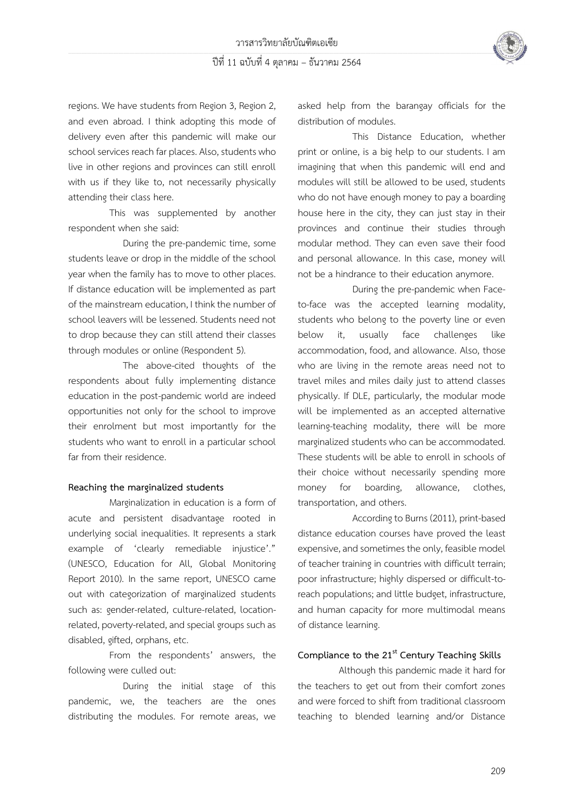

regions. We have students from Region 3, Region 2, and even abroad. I think adopting this mode of delivery even after this pandemic will make our school services reach far places. Also, students who live in other regions and provinces can still enroll with us if they like to, not necessarily physically attending their class here.

This was supplemented by another respondent when she said:

During the pre-pandemic time, some students leave or drop in the middle of the school year when the family has to move to other places. If distance education will be implemented as part of the mainstream education, I think the number of school leavers will be lessened. Students need not to drop because they can still attend their classes through modules or online (Respondent 5).

The above-cited thoughts of the respondents about fully implementing distance education in the post-pandemic world are indeed opportunities not only for the school to improve their enrolment but most importantly for the students who want to enroll in a particular school far from their residence.

#### **Reaching the marginalized students**

Marginalization in education is a form of acute and persistent disadvantage rooted in underlying social inequalities. It represents a stark example of 'clearly remediable injustice'." (UNESCO, Education for All, Global Monitoring Report 2010). In the same report, UNESCO came out with categorization of marginalized students such as: gender-related, culture-related, locationrelated, poverty-related, and special groups such as disabled, gifted, orphans, etc.

From the respondents' answers, the following were culled out:

During the initial stage of this pandemic, we, the teachers are the ones distributing the modules. For remote areas, we asked help from the barangay officials for the distribution of modules.

This Distance Education, whether print or online, is a big help to our students. I am imagining that when this pandemic will end and modules will still be allowed to be used, students who do not have enough money to pay a boarding house here in the city, they can just stay in their provinces and continue their studies through modular method. They can even save their food and personal allowance. In this case, money will not be a hindrance to their education anymore.

During the pre-pandemic when Faceto-face was the accepted learning modality, students who belong to the poverty line or even below it, usually face challenges like accommodation, food, and allowance. Also, those who are living in the remote areas need not to travel miles and miles daily just to attend classes physically. If DLE, particularly, the modular mode will be implemented as an accepted alternative learning-teaching modality, there will be more marginalized students who can be accommodated. These students will be able to enroll in schools of their choice without necessarily spending more money for boarding, allowance, clothes, transportation, and others.

According to Burns (2011), print-based distance education courses have proved the least expensive, and sometimes the only, feasible model of teacher training in countries with difficult terrain; poor infrastructure; highly dispersed or difficult-toreach populations; and little budget, infrastructure, and human capacity for more multimodal means of distance learning.

### **Compliance to the 21st Century Teaching Skills**

Although this pandemic made it hard for the teachers to get out from their comfort zones and were forced to shift from traditional classroom teaching to blended learning and/or Distance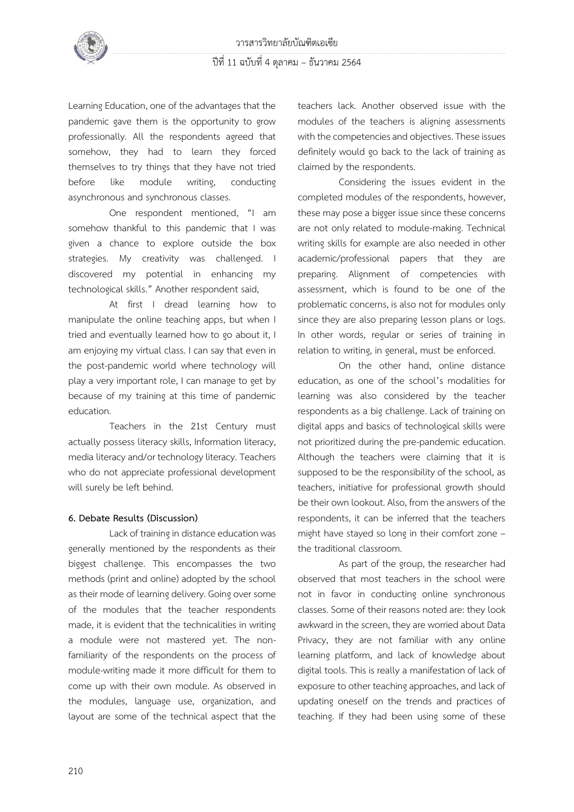

Learning Education, one of the advantages that the pandemic gave them is the opportunity to grow professionally. All the respondents agreed that somehow, they had to learn they forced themselves to try things that they have not tried before like module writing, conducting asynchronous and synchronous classes.

One respondent mentioned, "I am somehow thankful to this pandemic that I was given a chance to explore outside the box strategies. My creativity was challenged. I discovered my potential in enhancing my technological skills." Another respondent said,

At first I dread learning how to manipulate the online teaching apps, but when I tried and eventually learned how to go about it, I am enjoying my virtual class. I can say that even in the post-pandemic world where technology will play a very important role, I can manage to get by because of my training at this time of pandemic education.

Teachers in the 21st Century must actually possess literacy skills, Information literacy, media literacy and/or technology literacy. Teachers who do not appreciate professional development will surely be left behind.

#### **6. Debate Results (Discussion)**

Lack of training in distance education was generally mentioned by the respondents as their biggest challenge. This encompasses the two methods (print and online) adopted by the school as their mode of learning delivery. Going over some of the modules that the teacher respondents made, it is evident that the technicalities in writing a module were not mastered yet. The nonfamiliarity of the respondents on the process of module-writing made it more difficult for them to come up with their own module. As observed in the modules, language use, organization, and layout are some of the technical aspect that the

teachers lack. Another observed issue with the modules of the teachers is aligning assessments with the competencies and objectives. These issues definitely would go back to the lack of training as claimed by the respondents.

Considering the issues evident in the completed modules of the respondents, however, these may pose a bigger issue since these concerns are not only related to module-making. Technical writing skills for example are also needed in other academic/professional papers that they are preparing. Alignment of competencies with assessment, which is found to be one of the problematic concerns, is also not for modules only since they are also preparing lesson plans or logs. In other words, regular or series of training in relation to writing, in general, must be enforced.

On the other hand, online distance education, as one of the school's modalities for learning was also considered by the teacher respondents as a big challenge. Lack of training on digital apps and basics of technological skills were not prioritized during the pre-pandemic education. Although the teachers were claiming that it is supposed to be the responsibility of the school, as teachers, initiative for professional growth should be their own lookout. Also, from the answers of the respondents, it can be inferred that the teachers might have stayed so long in their comfort zone – the traditional classroom.

As part of the group, the researcher had observed that most teachers in the school were not in favor in conducting online synchronous classes. Some of their reasons noted are: they look awkward in the screen, they are worried about Data Privacy, they are not familiar with any online learning platform, and lack of knowledge about digital tools. This is really a manifestation of lack of exposure to other teaching approaches, and lack of updating oneself on the trends and practices of teaching. If they had been using some of these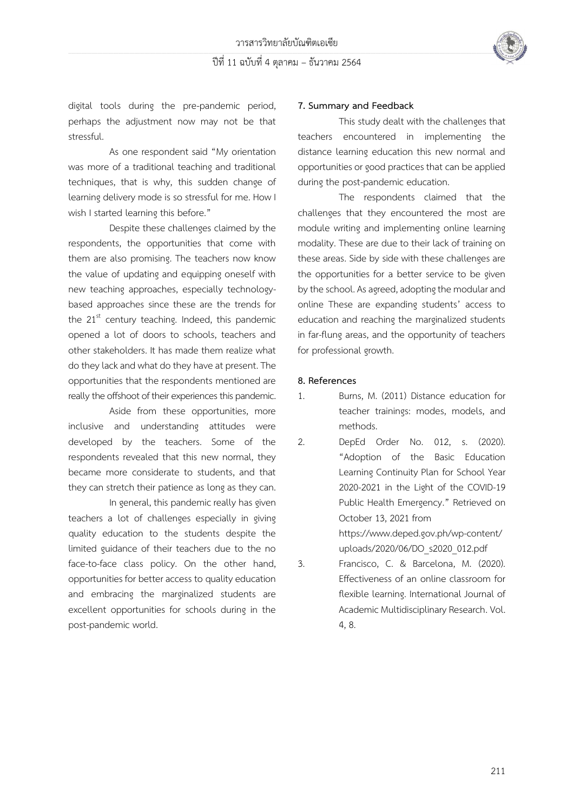ปีที่ 11 ฉบับที่ 4 ตุลาคม – ธันวาคม 2564



digital tools during the pre-pandemic period, perhaps the adjustment now may not be that stressful.

As one respondent said "My orientation was more of a traditional teaching and traditional techniques, that is why, this sudden change of learning delivery mode is so stressful for me. How I wish I started learning this before."

Despite these challenges claimed by the respondents, the opportunities that come with them are also promising. The teachers now know the value of updating and equipping oneself with new teaching approaches, especially technologybased approaches since these are the trends for the  $21<sup>st</sup>$  century teaching. Indeed, this pandemic opened a lot of doors to schools, teachers and other stakeholders. It has made them realize what do they lack and what do they have at present. The opportunities that the respondents mentioned are really the offshoot of their experiences this pandemic.

Aside from these opportunities, more inclusive and understanding attitudes were developed by the teachers. Some of the respondents revealed that this new normal, they became more considerate to students, and that they can stretch their patience as long as they can.

In general, this pandemic really has given teachers a lot of challenges especially in giving quality education to the students despite the limited guidance of their teachers due to the no face-to-face class policy. On the other hand, opportunities for better access to quality education and embracing the marginalized students are excellent opportunities for schools during in the post-pandemic world.

#### **7. Summary and Feedback**

This study dealt with the challenges that teachers encountered in implementing the distance learning education this new normal and opportunities or good practices that can be applied during the post-pandemic education.

The respondents claimed that the challenges that they encountered the most are module writing and implementing online learning modality. These are due to their lack of training on these areas. Side by side with these challenges are the opportunities for a better service to be given by the school. As agreed, adopting the modular and online These are expanding students' access to education and reaching the marginalized students in far-flung areas, and the opportunity of teachers for professional growth.

#### **8. References**

- 1. Burns, M. (2011) Distance education for teacher trainings: modes, models, and methods.
- 2. DepEd Order No. 012, s. (2020). "Adoption of the Basic Education Learning Continuity Plan for School Year 2020-2021 in the Light of the COVID-19 Public Health Emergency." Retrieved on October 13, 2021 from [https://www.deped.gov.ph/wp-content/](https://www.deped.gov.ph/wp-content/uploads/2020/06/DO_s2020_012.pdf)

[uploads/2020/06/DO\\_s2020\\_012.pdf](https://www.deped.gov.ph/wp-content/uploads/2020/06/DO_s2020_012.pdf)

3. Francisco, C. & Barcelona, M. (2020). Effectiveness of an online classroom for flexible learning. International Journal of Academic Multidisciplinary Research. Vol. 4, 8.